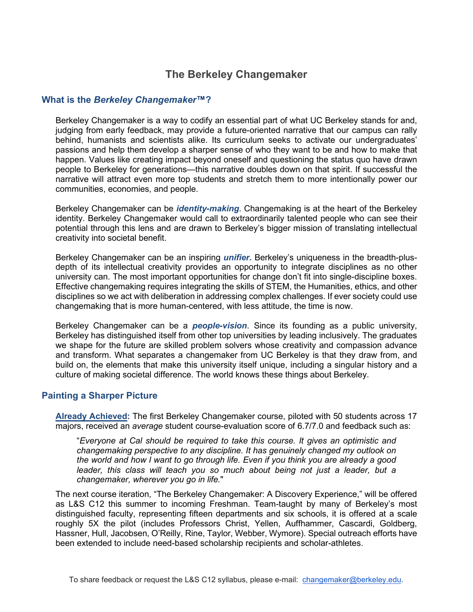## **The Berkeley Changemaker**

## **What is the** *Berkeley Changemaker***™?**

Berkeley Changemaker is a way to codify an essential part of what UC Berkeley stands for and, judging from early feedback, may provide a future-oriented narrative that our campus can rally behind, humanists and scientists alike. Its curriculum seeks to activate our undergraduates' passions and help them develop a sharper sense of who they want to be and how to make that happen. Values like creating impact beyond oneself and questioning the status quo have drawn people to Berkeley for generations—this narrative doubles down on that spirit. If successful the narrative will attract even more top students and stretch them to more intentionally power our communities, economies, and people.

Berkeley Changemaker can be *identity-making*. Changemaking is at the heart of the Berkeley identity. Berkeley Changemaker would call to extraordinarily talented people who can see their potential through this lens and are drawn to Berkeley's bigger mission of translating intellectual creativity into societal benefit.

Berkeley Changemaker can be an inspiring *unifier.* Berkeley's uniqueness in the breadth-plusdepth of its intellectual creativity provides an opportunity to integrate disciplines as no other university can. The most important opportunities for change don't fit into single-discipline boxes. Effective changemaking requires integrating the skills of STEM, the Humanities, ethics, and other disciplines so we act with deliberation in addressing complex challenges. If ever society could use changemaking that is more human-centered, with less attitude, the time is now.

Berkeley Changemaker can be a *people-vision*. Since its founding as a public university, Berkeley has distinguished itself from other top universities by leading inclusively. The graduates we shape for the future are skilled problem solvers whose creativity and compassion advance and transform. What separates a changemaker from UC Berkeley is that they draw from, and build on, the elements that make this university itself unique, including a singular history and a culture of making societal difference. The world knows these things about Berkeley.

## **Painting a Sharper Picture**

**Already Achieved:** The first Berkeley Changemaker course, piloted with 50 students across 17 majors, received an *average* student course-evaluation score of 6.7/7.0 and feedback such as:

"*Everyone at Cal should be required to take this course. It gives an optimistic and changemaking perspective to any discipline. It has genuinely changed my outlook on the world and how I want to go through life. Even if you think you are already a good*  leader, this class will teach you so much about being not just a leader, but a *changemaker, wherever you go in life.*"

The next course iteration, "The Berkeley Changemaker: A Discovery Experience," will be offered as L&S C12 this summer to incoming Freshman. Team-taught by many of Berkeley's most distinguished faculty, representing fifteen departments and six schools, it is offered at a scale roughly 5X the pilot (includes Professors Christ, Yellen, Auffhammer, Cascardi, Goldberg, Hassner, Hull, Jacobsen, O'Reilly, Rine, Taylor, Webber, Wymore). Special outreach efforts have been extended to include need-based scholarship recipients and scholar-athletes.